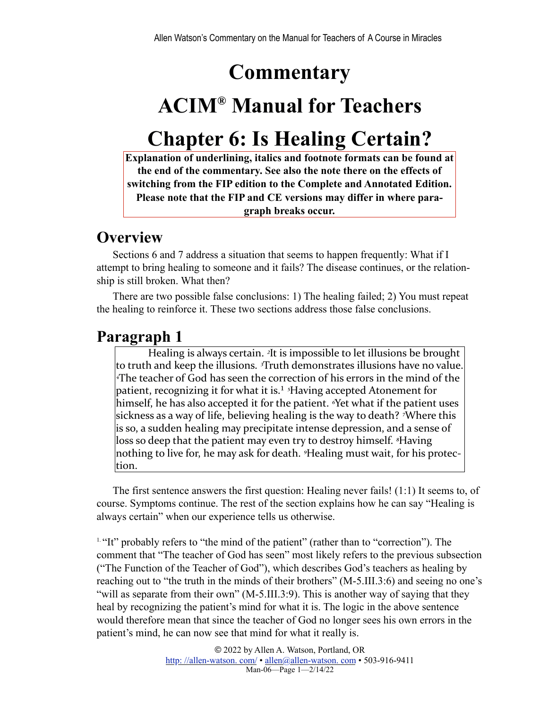## **Commentary**

# **ACIM® Manual for Teachers**

## **Chapter 6: Is Healing Certain?**

**Explanation of underlining, italics and footnote formats can be found at the end of the commentary. See also the note there on the effects of switching from the FIP edition to the Complete and Annotated Edition. Please note that the FIP and CE versions may differ in where paragraph breaks occur.**

### **Overview**

Sections 6 and 7 address a situation that seems to happen frequently: What if I attempt to bring healing to someone and it fails? The disease continues, or the relationship is still broken. What then?

There are two possible false conclusions: 1) The healing failed; 2) You must repeat the healing to reinforce it. These two sections address those false conclusions.

### **Paragraph 1**

<span id="page-0-1"></span>Healing is always certain. <sup>2</sup>It is impossible to let illusions be brought to truth and keep the illusions. <sup>*3*Truth demonstrates illusions have no value.</sup>  $^4$ The teacher of God has seen the correction of his errors in the mind of the patient, recognizing it for what it is.<sup>1</sup> <sup>5</sup>Having accepted Atonement for himself, he has also accepted it for the patient. <sup>*«*Yet what if the patient uses</sup> sickness as a way of life, believing healing is the way to death? <sup>7</sup>Where this is so, a sudden healing may precipitate intense depression, and a sense of loss so deep that the patient may even try to destroy himself. <sup>*§*</sup>Having</sup> nothing to live for, he may ask for death. <sup>9</sup>Healing must wait, for his protection.

The first sentence answers the first question: Healing never fails! (1:1) It seems to, of course. Symptoms continue. The rest of the section explains how he can say "Healing is always certain" when our experience tells us otherwise.

<span id="page-0-0"></span><sup>[1.](#page-0-1) "It"</sup> probably refers to "the mind of the patient" (rather than to "correction"). The comment that "The teacher of God has seen" most likely refers to the previous subsection ("The Function of the Teacher of God"), which describes God's teachers as healing by reaching out to "the truth in the minds of their brothers" (M-5.III.3:6) and seeing no one's "will as separate from their own" (M-5.III.3:9). This is another way of saying that they heal by recognizing the patient's mind for what it is. The logic in the above sentence would therefore mean that since the teacher of God no longer sees his own errors in the patient's mind, he can now see that mind for what it really is.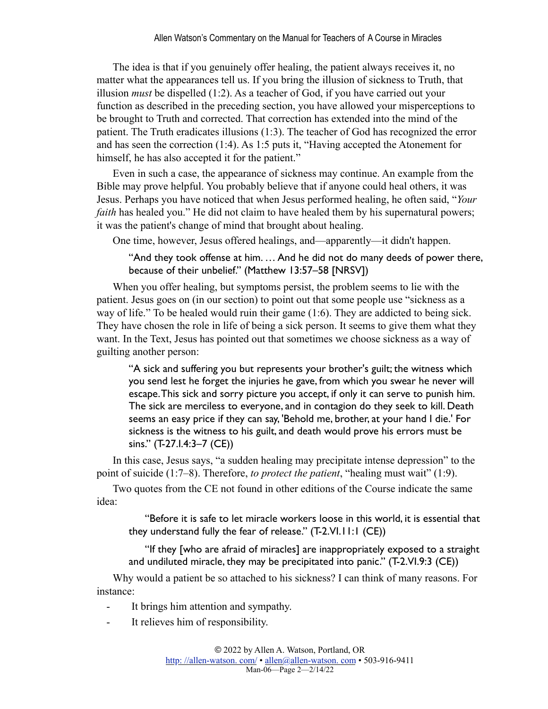The idea is that if you genuinely offer healing, the patient always receives it, no matter what the appearances tell us. If you bring the illusion of sickness to Truth, that illusion *must* be dispelled (1:2). As a teacher of God, if you have carried out your function as described in the preceding section, you have allowed your misperceptions to be brought to Truth and corrected. That correction has extended into the mind of the patient. The Truth eradicates illusions (1:3). The teacher of God has recognized the error and has seen the correction (1:4). As 1:5 puts it, "Having accepted the Atonement for himself, he has also accepted it for the patient."

Even in such a case, the appearance of sickness may continue. An example from the Bible may prove helpful. You probably believe that if anyone could heal others, it was Jesus. Perhaps you have noticed that when Jesus performed healing, he often said, "*Your faith* has healed you." He did not claim to have healed them by his supernatural powers; it was the patient's change of mind that brought about healing.

One time, however, Jesus offered healings, and—apparently—it didn't happen.

"And they took offense at him. … And he did not do many deeds of power there, because of their unbelief." (Matthew 13:57–58 [NRSV])

When you offer healing, but symptoms persist, the problem seems to lie with the patient. Jesus goes on (in our section) to point out that some people use "sickness as a way of life." To be healed would ruin their game (1:6). They are addicted to being sick. They have chosen the role in life of being a sick person. It seems to give them what they want. In the Text, Jesus has pointed out that sometimes we choose sickness as a way of guilting another person:

"A sick and suffering you but represents your brother's guilt; the witness which you send lest he forget the injuries he gave, from which you swear he never will escape. This sick and sorry picture you accept, if only it can serve to punish him. The sick are merciless to everyone, and in contagion do they seek to kill. Death seems an easy price if they can say, 'Behold me, brother, at your hand I die.' For sickness is the witness to his guilt, and death would prove his errors must be sins." (T-27.I.4:3–7 (CE))

In this case, Jesus says, "a sudden healing may precipitate intense depression" to the point of suicide (1:7–8). Therefore, *to protect the patient*, "healing must wait" (1:9).

Two quotes from the CE not found in other editions of the Course indicate the same idea:

"Before it is safe to let miracle workers loose in this world, it is essential that they understand fully the fear of release." (T-2.VI.11:1 (CE))

"If they [who are afraid of miracles] are inappropriately exposed to a straight and undiluted miracle, they may be precipitated into panic." (T-2.VI.9:3 (CE))

Why would a patient be so attached to his sickness? I can think of many reasons. For instance:

- It brings him attention and sympathy.
- It relieves him of responsibility.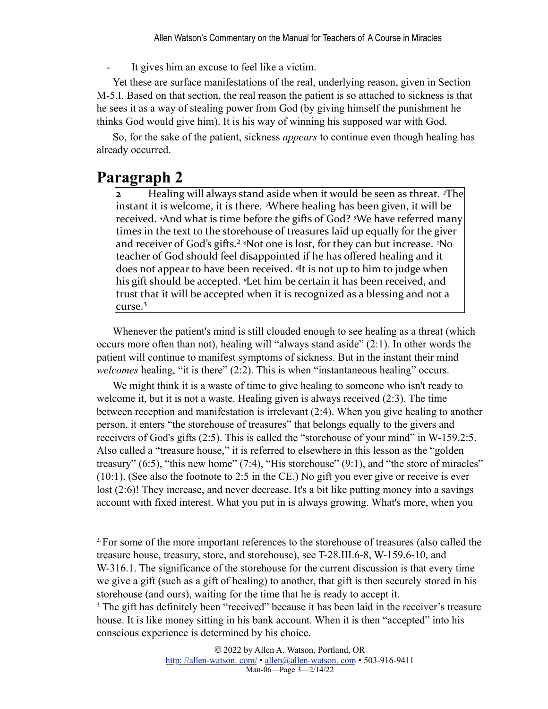It gives him an excuse to feel like a victim.

Yet these are surface manifestations of the real, underlying reason, given in Section M-5.I. Based on that section, the real reason the patient is so attached to sickness is that he sees it as a way of stealing power from God (by giving himself the punishment he thinks God would give him). It is his way of winning his supposed war with God.

So, for the sake of the patient, sickness *appears* to continue even though healing has already occurred.

#### **Paragraph 2**

<span id="page-2-2"></span>**2** Healing will always stand aside when it would be seen as threat. <sup>*z*The</sup> instant it is welcome, it is there. <sup>3</sup>Where healing has been given, it will be received. <sup>4</sup>And what is time before the gifts of God? <sup>5</sup>We have referred many times in the text to the storehouse of treasures laid up equally for the giver and receiver of God's gifts.<sup>2</sup> <sup>*§*Not one is lost, for they can but increase. *7*No</sup> teacher of God should feel disappointed if he has offered healing and it does not appear to have been received. <sup>*s*</sup>It is not up to him to judge when his gift should be accepted. <sup>*I*</sup>Let him be certain it has been received, and trust that it will be accepted when it is recognized as a blessing and not a  $\rm{curse.}^3$ 

<span id="page-2-3"></span>Whenever the patient's mind is still clouded enough to see healing as a threat (which occurs more often than not), healing will "always stand aside" (2:1). In other words the patient will continue to manifest symptoms of sickness. But in the instant their mind *welcomes* healing, "it is there" (2:2). This is when "instantaneous healing" occurs.

We might think it is a waste of time to give healing to someone who isn't ready to welcome it, but it is not a waste. Healing given is always received (2:3). The time between reception and manifestation is irrelevant (2:4). When you give healing to another person, it enters "the storehouse of treasures" that belongs equally to the givers and receivers of God's gifts (2:5). This is called the "storehouse of your mind" in W-159.2:5. Also called a "treasure house," it is referred to elsewhere in this lesson as the "golden treasury"  $(6:5)$ , "this new home"  $(7:4)$ , "His storehouse"  $(9:1)$ , and "the store of miracles" (10:1). (See also the footnote to 2:5 in the CE.) No gift you ever give or receive is ever lost (2:6)! They increase, and never decrease. It's a bit like putting money into a savings account with fixed interest. What you put in is always growing. What's more, when you

<span id="page-2-1"></span><span id="page-2-0"></span>[2.](#page-2-2)For some of the more important references to the storehouse of treasures (also called the treasure house, treasury, store, and storehouse), see T-28.III.6-8, W-159.6-10, and W-316.1. The significance of the storehouse for the current discussion is that every time we give a gift (such as a gift of healing) to another, that gift is then securely stored in his storehouse (and ours), waiting for the time that he is ready to accept it. <sup>[3.](#page-2-3)</sup> The gift has definitely been "received" because it has been laid in the receiver's treasure house. It is like money sitting in his bank account. When it is then "accepted" into his conscious experience is determined by his choice.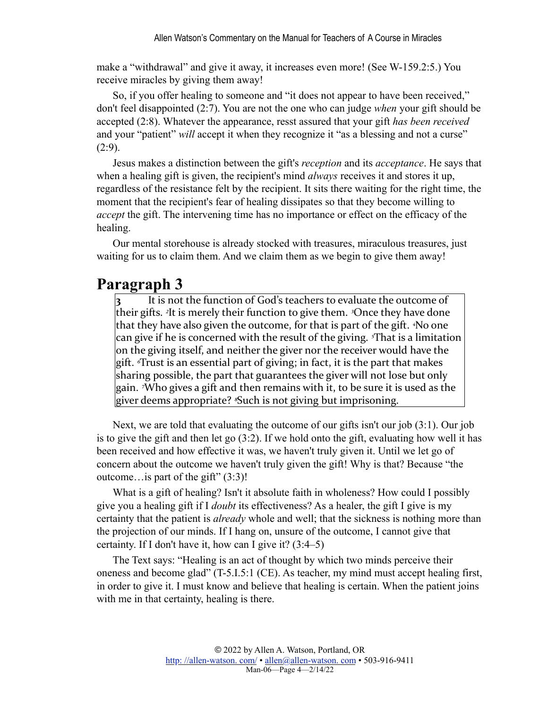make a "withdrawal" and give it away, it increases even more! (See W-159.2:5.) You receive miracles by giving them away!

So, if you offer healing to someone and "it does not appear to have been received," don't feel disappointed (2:7). You are not the one who can judge *when* your gift should be accepted (2:8). Whatever the appearance, resst assured that your gift *has been received* and your "patient" *will* accept it when they recognize it "as a blessing and not a curse"  $(2:9)$ .

Jesus makes a distinction between the gift's *reception* and its *acceptance*. He says that when a healing gift is given, the recipient's mind *always* receives it and stores it up, regardless of the resistance felt by the recipient. It sits there waiting for the right time, the moment that the recipient's fear of healing dissipates so that they become willing to *accept* the gift. The intervening time has no importance or effect on the efficacy of the healing.

Our mental storehouse is already stocked with treasures, miraculous treasures, just waiting for us to claim them. And we claim them as we begin to give them away!

#### **Paragraph 3**

It is not the function of God's teachers to evaluate the outcome of their gifts. <sup>2</sup>It is merely their function to give them. <sup>3</sup>Once they have done that they have also given the outcome, for that is part of the gift. <sup>4</sup>No one can give if he is concerned with the result of the giving. <sup>*T*</sup> That is a limitation on the giving itself, and neither the giver nor the receiver would have the gift. Trust is an essential part of giving; in fact, it is the part that makes sharing possible, the part that guarantees the giver will not lose but only gain. <sup>7</sup>Who gives a gift and then remains with it, to be sure it is used as the giver deems appropriate? <sup>*§*</sup>Such is not giving but imprisoning.

Next, we are told that evaluating the outcome of our gifts isn't our job (3:1). Our job is to give the gift and then let go (3:2). If we hold onto the gift, evaluating how well it has been received and how effective it was, we haven't truly given it. Until we let go of concern about the outcome we haven't truly given the gift! Why is that? Because "the outcome…is part of the gift" (3:3)!

What is a gift of healing? Isn't it absolute faith in wholeness? How could I possibly give you a healing gift if I *doubt* its effectiveness? As a healer, the gift I give is my certainty that the patient is *already* whole and well; that the sickness is nothing more than the projection of our minds. If I hang on, unsure of the outcome, I cannot give that certainty. If I don't have it, how can I give it? (3:4–5)

The Text says: "Healing is an act of thought by which two minds perceive their oneness and become glad" (T-5.I.5:1 (CE). As teacher, my mind must accept healing first, in order to give it. I must know and believe that healing is certain. When the patient joins with me in that certainty, healing is there.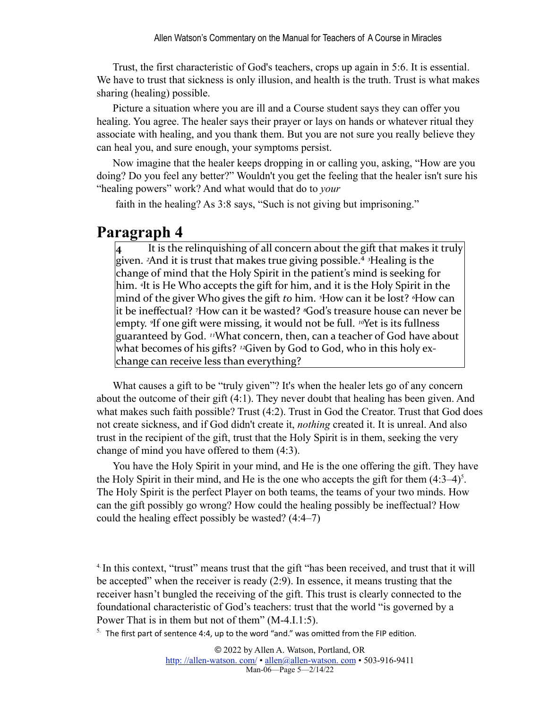Trust, the first characteristic of God's teachers, crops up again in 5:6. It is essential. We have to trust that sickness is only illusion, and health is the truth. Trust is what makes sharing (healing) possible.

Picture a situation where you are ill and a Course student says they can offer you healing. You agree. The healer says their prayer or lays on hands or whatever ritual they associate with healing, and you thank them. But you are not sure you really believe they can heal you, and sure enough, your symptoms persist.

Now imagine that the healer keeps dropping in or calling you, asking, "How are you doing? Do you feel any better?" Wouldn't you get the feeling that the healer isn't sure his "healing powers" work? And what would that do to *your*

faith in the healing? As 3:8 says, "Such is not giving but imprisoning."

#### **Paragraph 4**

<span id="page-4-2"></span>**4** It is the relinquishing of all concern about the gift that makes it truly given.  ${}^{2}$ And it is trust that makes true giving possible.<sup>4</sup> <sup>3</sup>Healing is the change of mind that the Holy Spirit in the patient's mind is seeking for him. <sup>4</sup>It is He Who accepts the gift for him, and it is the Holy Spirit in the mind of the giver Who gives the gift *to* him. <sup>5</sup>How can it be lost? <sup>6</sup>How can it be ineffectual? <sup>7</sup>How can it be wasted? <sup>*s*</sup>God's treasure house can never be empty. <sup>*If*</sup> one gift were missing, it would not be full. <sup>10</sup>Yet is its fullness guaranteed by God. <sup>11</sup>What concern, then, can a teacher of God have about what becomes of his gifts? <sup>12</sup>Given by God to God, who in this holy exchange can receive less than everything?

What causes a gift to be "truly given"? It's when the healer lets go of any concern about the outcome of their gift (4:1). They never doubt that healing has been given. And what makes such faith possible? Trust (4:2). Trust in God the Creator. Trust that God does not create sickness, and if God didn't create it, *nothing* created it. It is unreal. And also trust in the recipient of the gift, trust that the Holy Spirit is in them, seeking the very change of mind you have offered to them (4:3).

<span id="page-4-3"></span>You have the Holy Spirit in your mind, and He is the one offering the gift. They have the Holy Spirit in their mind, and He is the one who accepts the gift for them  $(4:3-4)^5$ . The Holy Spirit is the perfect Player on both teams, the teams of your two minds. How can the gift possibly go wrong? How could the healing possibly be ineffectual? How could the healing effect possibly be wasted? (4:4–7)

<span id="page-4-0"></span><sup>4</sup>. In this context, "trust" means trust that the gift "has been received, and trust that it will be accepted" when the receiver is ready (2:9). In essence, it means trusting that the receiver hasn't bungled the receiving of the gift. This trust is clearly connected to the foundational characteristic of God's teachers: trust that the world "is governed by a Power That is in them but not of them" (M-4.I.1:5).

<span id="page-4-1"></span> $5.$  The first part of sentence 4:4, up to the word "and." was omitted from the FIP edition.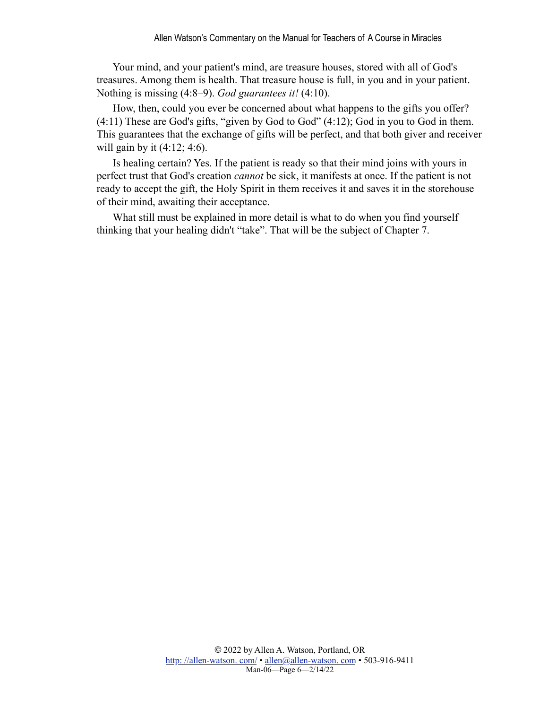Your mind, and your patient's mind, are treasure houses, stored with all of God's treasures. Among them is health. That treasure house is full, in you and in your patient. Nothing is missing (4:8–9). *God guarantees it!* (4:10).

How, then, could you ever be concerned about what happens to the gifts you offer? (4:11) These are God's gifts, "given by God to God" (4:12); God in you to God in them. This guarantees that the exchange of gifts will be perfect, and that both giver and receiver will gain by it (4:12; 4:6).

Is healing certain? Yes. If the patient is ready so that their mind joins with yours in perfect trust that God's creation *cannot* be sick, it manifests at once. If the patient is not ready to accept the gift, the Holy Spirit in them receives it and saves it in the storehouse of their mind, awaiting their acceptance.

What still must be explained in more detail is what to do when you find yourself thinking that your healing didn't "take". That will be the subject of Chapter 7.